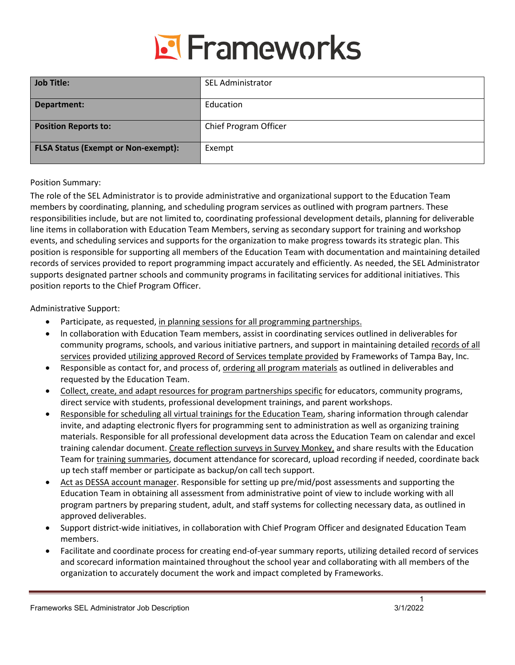

| <b>Job Title:</b>                          | <b>SEL Administrator</b> |
|--------------------------------------------|--------------------------|
| Department:                                | Education                |
| <b>Position Reports to:</b>                | Chief Program Officer    |
| <b>FLSA Status (Exempt or Non-exempt):</b> | Exempt                   |

# Position Summary:

The role of the SEL Administrator is to provide administrative and organizational support to the Education Team members by coordinating, planning, and scheduling program services as outlined with program partners. These responsibilities include, but are not limited to, coordinating professional development details, planning for deliverable line items in collaboration with Education Team Members, serving as secondary support for training and workshop events, and scheduling services and supports for the organization to make progress towards its strategic plan. This position is responsible for supporting all members of the Education Team with documentation and maintaining detailed records of services provided to report programming impact accurately and efficiently. As needed, the SEL Administrator supports designated partner schools and community programs in facilitating services for additional initiatives. This position reports to the Chief Program Officer.

# Administrative Support:

- Participate, as requested, in planning sessions for all programming partnerships.
- ln collaboration with Education Team members, assist in coordinating services outlined in deliverables for community programs, schools, and various initiative partners, and support in maintaining detailed records of all services provided utilizing approved Record of Services template provided by Frameworks of Tampa Bay, Inc.
- Responsible as contact for, and process of, ordering all program materials as outlined in deliverables and requested by the Education Team.
- Collect, create, and adapt resources for program partnerships specific for educators, community programs, direct service with students, professional development trainings, and parent workshops.
- Responsible for scheduling all virtual trainings for the Education Team, sharing information through calendar invite, and adapting electronic flyers for programming sent to administration as well as organizing training materials. Responsible for all professional development data across the Education Team on calendar and excel training calendar document. Create reflection surveys in Survey Monkey, and share results with the Education Team for training summaries, document attendance for scorecard, upload recording if needed, coordinate back up tech staff member or participate as backup/on call tech support.
- Act as DESSA account manager. Responsible for setting up pre/mid/post assessments and supporting the Education Team in obtaining all assessment from administrative point of view to include working with all program partners by preparing student, adult, and staff systems for collecting necessary data, as outlined in approved deliverables.
- Support district-wide initiatives, in collaboration with Chief Program Officer and designated Education Team members.
- Facilitate and coordinate process for creating end-of-year summary reports, utilizing detailed record of services and scorecard information maintained throughout the school year and collaborating with all members of the organization to accurately document the work and impact completed by Frameworks.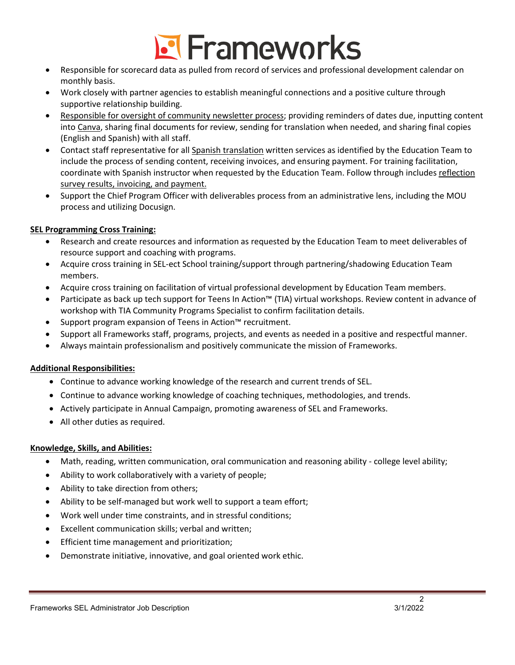

- Responsible for scorecard data as pulled from record of services and professional development calendar on monthly basis.
- Work closely with partner agencies to establish meaningful connections and a positive culture through supportive relationship building.
- Responsible for oversight of community newsletter process; providing reminders of dates due, inputting content into Canva, sharing final documents for review, sending for translation when needed, and sharing final copies (English and Spanish) with all staff.
- Contact staff representative for all Spanish translation written services as identified by the Education Team to include the process of sending content, receiving invoices, and ensuring payment. For training facilitation, coordinate with Spanish instructor when requested by the Education Team. Follow through includes reflection survey results, invoicing, and payment.
- Support the Chief Program Officer with deliverables process from an administrative lens, including the MOU process and utilizing Docusign.

# **SEL Programming Cross Training:**

- Research and create resources and information as requested by the Education Team to meet deliverables of resource support and coaching with programs.
- Acquire cross training in SEL-ect School training/support through partnering/shadowing Education Team members.
- Acquire cross training on facilitation of virtual professional development by Education Team members.
- Participate as back up tech support for Teens In Action™ (TIA) virtual workshops. Review content in advance of workshop with TIA Community Programs Specialist to confirm facilitation details.
- Support program expansion of Teens in Action™ recruitment.
- Support all Frameworks staff, programs, projects, and events as needed in a positive and respectful manner.
- Always maintain professionalism and positively communicate the mission of Frameworks.

# **Additional Responsibilities:**

- Continue to advance working knowledge of the research and current trends of SEL.
- Continue to advance working knowledge of coaching techniques, methodologies, and trends.
- Actively participate in Annual Campaign, promoting awareness of SEL and Frameworks.
- All other duties as required.

# **Knowledge, Skills, and Abilities:**

- Math, reading, written communication, oral communication and reasoning ability college level ability;
- Ability to work collaboratively with a variety of people;
- Ability to take direction from others;
- Ability to be self-managed but work well to support a team effort;
- Work well under time constraints, and in stressful conditions;
- Excellent communication skills; verbal and written;
- Efficient time management and prioritization;
- Demonstrate initiative, innovative, and goal oriented work ethic.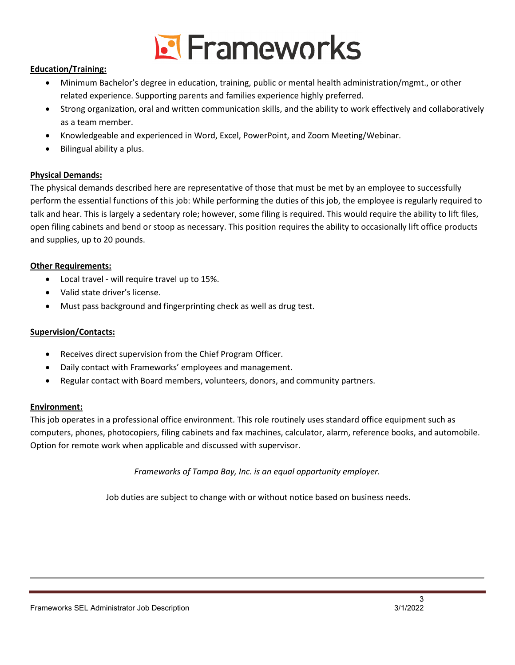

# **Education/Training:**

- Minimum Bachelor's degree in education, training, public or mental health administration/mgmt., or other related experience. Supporting parents and families experience highly preferred.
- Strong organization, oral and written communication skills, and the ability to work effectively and collaboratively as a team member.
- Knowledgeable and experienced in Word, Excel, PowerPoint, and Zoom Meeting/Webinar.
- Bilingual ability a plus.

# **Physical Demands:**

The physical demands described here are representative of those that must be met by an employee to successfully perform the essential functions of this job: While performing the duties of this job, the employee is regularly required to talk and hear. This is largely a sedentary role; however, some filing is required. This would require the ability to lift files, open filing cabinets and bend or stoop as necessary. This position requires the ability to occasionally lift office products and supplies, up to 20 pounds.

# **Other Requirements:**

- Local travel will require travel up to 15%.
- Valid state driver's license.
- Must pass background and fingerprinting check as well as drug test.

# **Supervision/Contacts:**

- Receives direct supervision from the Chief Program Officer.
- Daily contact with Frameworks' employees and management.
- Regular contact with Board members, volunteers, donors, and community partners.

# **Environment:**

This job operates in a professional office environment. This role routinely uses standard office equipment such as computers, phones, photocopiers, filing cabinets and fax machines, calculator, alarm, reference books, and automobile. Option for remote work when applicable and discussed with supervisor.

*Frameworks of Tampa Bay, Inc. is an equal opportunity employer.*

Job duties are subject to change with or without notice based on business needs.